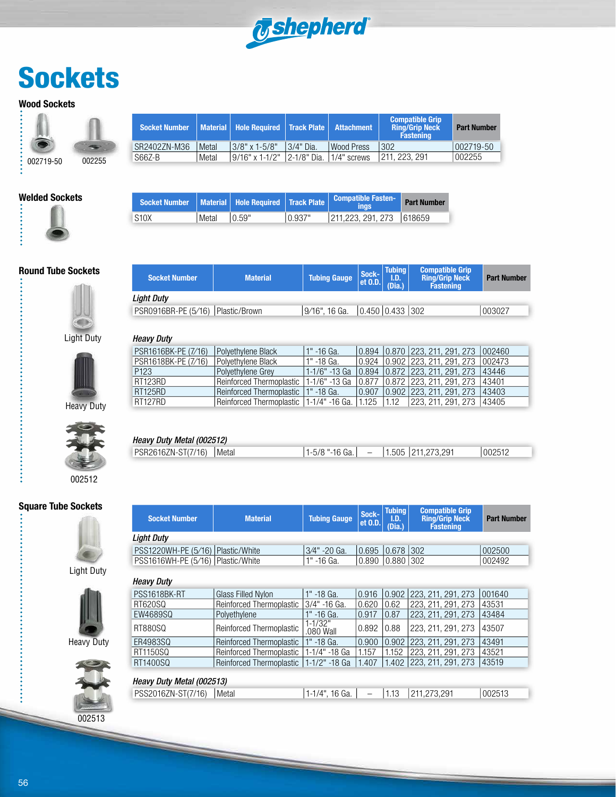

# **Sockets**

#### **Wood Sockets**

| 002719-50 | 002255 |
|-----------|--------|

| <b>Socket Number</b> |         | Material   Hole Required   Track Plate   Attachment |              |                     | <b>Compatible Grip</b><br><b>Ring/Grip Neck</b><br><b>Fastening</b> | <b>Part Number</b> |
|----------------------|---------|-----------------------------------------------------|--------------|---------------------|---------------------------------------------------------------------|--------------------|
| SR2402ZN-M36         | l Metal | $13/8"$ x 1-5/8"                                    | $13/4"$ Dia. | <b>I</b> Wood Press | 302                                                                 | 1002719-50         |
| S66Z-B               | Metal   | $19/16"$ x 1-1/2"                                   | 12-1/8" Dia. | 1/4" screws         | 1211, 223, 291                                                      | 002255             |

#### **Welded Sockets**

è

 $\ddot{\cdot}$ 



|             |       |        |         | Socket Number   Material   Hole Required   Track Plate   Compatible Fasten- | <b>Part Number</b> |
|-------------|-------|--------|---------|-----------------------------------------------------------------------------|--------------------|
| <b>S10X</b> | Metal | 10.59" | 10.937" | 211.223, 291, 273   618659                                                  |                    |

**Socket Number Material Tubing Gauge Sock-**

#### **Round Tube Sockets**



| Heavy Duty |
|------------|



002512

#### **Square Tube Sockets**

š



Light Duty



Heavy Duty



|                                     |                          |                       | GL U.D.                             | (Dia.) | <b>Fastening</b>         |        |
|-------------------------------------|--------------------------|-----------------------|-------------------------------------|--------|--------------------------|--------|
| <b>Light Duty</b>                   |                          |                       |                                     |        |                          |        |
| PSR0916BR-PE (5/16)   Plastic/Brown |                          | 9/16", 16 Ga.         | $\vert 0.450 \vert 0.433 \vert 302$ |        |                          | 003027 |
|                                     |                          |                       |                                     |        |                          |        |
| <b>Heavy Duty</b>                   |                          |                       |                                     |        |                          |        |
| PSR1616BK-PE (7/16)                 | Polyethylene Black       | $1" -16$ Ga.          | 10.894                              |        | 0.870 223, 211, 291, 273 | 002460 |
| PSR1618BK-PE (7/16)                 | Polvethylene Black       | 1" -18 Ga.            | 0.924                               |        | 0.902 223, 211, 291, 273 | 002473 |
| P <sub>123</sub>                    | Polyethylene Grey        | $1 - 1/6" - 13$ Ga    | 0.894                               | 0.872  | 223, 211, 291, 273       | 43446  |
| RT123RD                             | Reinforced Thermoplastic | 1-1/6" -13 Ga         | 10.877                              | 0.872  | 223, 211, 291, 273       | 43401  |
| <b>RT125RD</b>                      | Reinforced Thermoplastic | 1" -18 Ga.            | 0.907                               | 0.902  | 223, 211, 291, 273       | 43403  |
| RT127RD                             | Reinforced Thermoplastic | 1-1/4" -16 Ga.  1.125 |                                     | 1.12   | 223, 211, 291, 273       | 43405  |

**et O.D.**

**Tubing I.D.** 

**Compatible Grip Ring/Grip Neck** 

**Compatible Grip Ring/Grip Neck Fastening**

**Part Number**

**Part Number**



| Heavy Duty Metal (002512)  |                  |  |                           |                  |
|----------------------------|------------------|--|---------------------------|------------------|
| PSR2616ZN-ST(7/16)   Metal | $1-5/8$ "-16 Ga. |  | $-$   1.505   211,273,291 | $ 002512\rangle$ |
|                            |                  |  |                           |                  |

**et O.D.**

**Tubing I.D. (Dia.)**

### PSS1220WH-PE (5/16) Plastic/White  $\frac{3}{4}$ " -20 Ga.  $\frac{0.695}{0.678}$  302 002500<br>PSS1616WH-PE (5/16) Plastic/White 1" -16 Ga. 0.890 0.880 302 002492 PSS1616WH-PE (5/16) Plastic/White *Light Duty* **Socket Number**  $\begin{vmatrix} \cdot & \cdot & \cdot \\ \cdot & \cdot & \cdot \\ \cdot & \cdot & \cdot \\ \cdot & \cdot & \cdot \end{vmatrix}$  Tubing Gauge  $\begin{vmatrix} \text{Sock-} \\ \text{at} & \text{n} \end{vmatrix}$

PSS1618BK-RT Glass Filled Nylon 1" -18 Ga. 0.916 0.902 223, 211, 291, 273 001640<br>RT620SQ Reinforced Thermoplastic 3/4" -16 Ga. 0.620 0.62 223, 211, 291, 273 43531 RT620SQ Reinforced Thermoplastic 3/4" -16 Ga. 0.620 0.62 223, 211, 291, 273 43531<br>EW4689SQ Polyethylene 1" -16 Ga. 0.917 0.87 223, 211, 291, 273 43484  $\frac{1}{1}$  -16 Ga. 0.917 0.87 223, 211, 291, 273 RT880SQ | Reinforced Thermoplastic | 080 Wall .080 Wall 0.892 0.88 223, 211, 291, 273 43507 ER4983SQ Reinforced Thermoplastic 1" -18 Ga. 0.900 0.902 223, 211, 291, 273 43491<br>REI1150SQ Reinforced Thermoplastic 1-1/4" -18 Ga 11.157 1.152 223, 211, 291, 273 43521 RT1150SQ Reinforced Thermoplastic 1-1/4" -18 Ga 1.157 1.152 223, 211, 291, 273 43521<br>RT1400SQ Reinforced Thermoplastic 1-1/2" -18 Ga 1.407 1.402 223, 211, 291, 273 43519 Reinforced Thermoplastic | 1-1/2" -18 Ga | 1.407 | 1.402 | 223, 211, 291, 273 | 43519 *Heavy Duty*

#### *Heavy Duty Metal (002513)*

| IGAVY DULY IVIGIAI (UULJTJ) |                                                                        |  |         |
|-----------------------------|------------------------------------------------------------------------|--|---------|
| PSS2016ZN-ST(7/16)   Metal  | $\vert 1 - 1/4$ ", 16 Ga. $\vert - \vert 1.13 \vert 211,273,291 \vert$ |  | 1002513 |
|                             |                                                                        |  |         |

 $\ddot{\phantom{a}}$